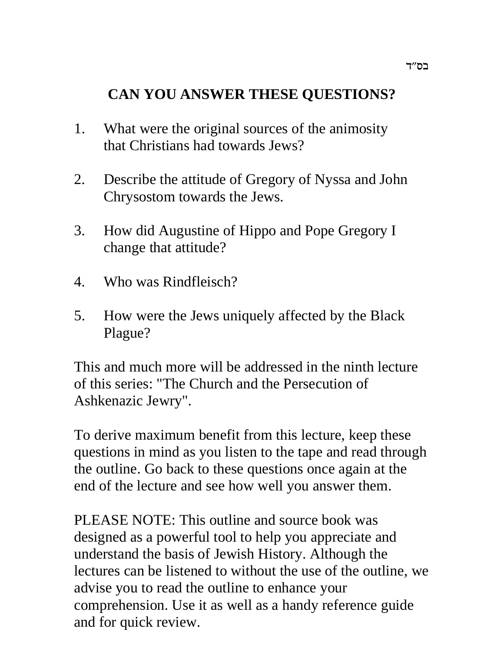# **CAN YOU ANSWER THESE QUESTIONS?**

- 1. What were the original sources of the animosity that Christians had towards Jews?
- 2. Describe the attitude of Gregory of Nyssa and John Chrysostom towards the Jews.
- 3. How did Augustine of Hippo and Pope Gregory I change that attitude?
- 4. Who was Rindfleisch?
- 5. How were the Jews uniquely affected by the Black Plague?

This and much more will be addressed in the ninth lecture of this series: "The Church and the Persecution of Ashkenazic Jewry".

To derive maximum benefit from this lecture, keep these questions in mind as you listen to the tape and read through the outline. Go back to these questions once again at the end of the lecture and see how well you answer them.

PLEASE NOTE: This outline and source book was designed as a powerful tool to help you appreciate and understand the basis of Jewish History. Although the lectures can be listened to without the use of the outline, we advise you to read the outline to enhance your comprehension. Use it as well as a handy reference guide and for quick review.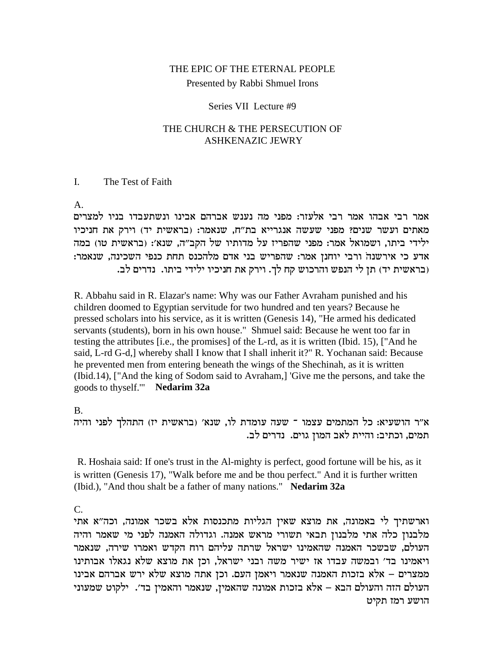# THE EPIC OF THE ETERNAL PEOPLE Presented by Rabbi Shmuel Irons

#### Series VII Lecture #9

# THE CHURCH & THE PERSECUTION OF ASHKENAZIC JEWRY

## I. The Test of Faith

# A.

אמר רבי אבהו אמר רבי אלעזר: מפני מה נענש אברהם אבינו ונשתעבדו בניו למצרים מאתים ועשר שנים? מפני שעשה אנגרייא בת"ח, שנאמר: (בראשית יד) וירק את חניכיו ילידי ביתו, ושמואל אמר: מפני שהפריז על מדותיו של הקב"ה, שנא': (בראשית טו) במה : אדע כי אירשנה ורבי יוחנן אמר: שהפריש בני אדם מלהכנס תחת כנפי השכינה, שנאמר .<br>בראשית יד) תן לי הנפש והרכוש קח לך. וירק את חניכיו ילידי ביתו. נדרים לב

R. Abbahu said in R. Elazar's name: Why was our Father Avraham punished and his children doomed to Egyptian servitude for two hundred and ten years? Because he pressed scholars into his service, as it is written (Genesis 14), "He armed his dedicated servants (students), born in his own house." Shmuel said: Because he went too far in testing the attributes [i.e., the promises] of the L-rd, as it is written (Ibid. 15), ["And he said, L-rd G-d,] whereby shall I know that I shall inherit it?" R. Yochanan said: Because he prevented men from entering beneath the wings of the Shechinah, as it is written (Ibid.14), ["And the king of Sodom said to Avraham,] 'Give me the persons, and take the goods to thyself.'" **Nedarim 32a**

# B.

א"ר הושעיא: כל המתמים עצמו <sup>-</sup> שעה עומדת לו, שנא' (בראשית יז) התהלך לפני והיה תמים, וכתיב: והיית לאב המון גוים. נדרים לב.

R. Hoshaia said: If one's trust in the Al-mighty is perfect, good fortune will be his, as it is written (Genesis 17), "Walk before me and be thou perfect." And it is further written (Ibid.), "And thou shalt be a father of many nations." **Nedarim 32a**

C.

וארשתיך לי באמונה, את מוצא שאין הגליות מתכנסות אלא בשכר אמונה, וכה"א אתי מלבנון כלה אתי מלבנון תבאי תשורי מראש אמנה. וגדולה האמנה לפני מי שאמר והיה העולם, שבשכר האמנה שהאמינו ישראל שרתה עליהם רוח הקדש ואמרו שירה, שנאמר ויאמינו בד' ובמשה עבדו אז ישיר משה ובני ישראל, וכן את מוצא שלא נגאלו אבותינו ממצרים – אלא בזכות האמנה שנאמר ויאמן העם. וכן אתה מוצא שלא ירש אברהם אבינו העולם הזה והעולם הבא – אלא בזכות אמונה שהאמין, שנאמר והאמין בד׳. ילקוט שמעוני הושע רמז תקיט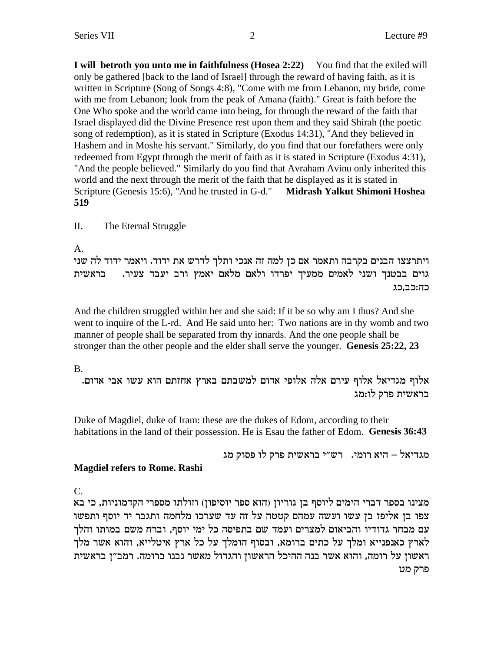**I** will betroth you unto me in faithfulness (Hosea 2:22) You find that the exiled will only be gathered [back to the land of Israel] through the reward of having faith, as it is written in Scripture (Song of Songs 4:8), "Come with me from Lebanon, my bride, come with me from Lebanon; look from the peak of Amana (faith)." Great is faith before the One Who spoke and the world came into being, for through the reward of the faith that Israel displayed did the Divine Presence rest upon them and they said Shirah (the poetic song of redemption), as it is stated in Scripture (Exodus 14:31), "And they believed in Hashem and in Moshe his servant." Similarly, do you find that our forefathers were only redeemed from Egypt through the merit of faith as it is stated in Scripture (Exodus 4:31), "And the people believed." Similarly do you find that Avraham Avinu only inherited this world and the next through the merit of the faith that he displayed as it is stated in Scripture (Genesis 15:6), "And he trusted in G-d." **Midrash Yalkut Shimoni Hoshea 519**

II. The Eternal Struggle

A.

ויתרצצו הבנים בקרבה ותאמר אם כן למה זה אנכי ותלך לדרש את ידוד. ויאמר ידוד לה שני גוים בבטנך ושני לאמים ממעיך יפרדו ולאם מלאם יאמץ ורב יעבד צעיר. בראשית כה:כבג

And the children struggled within her and she said: If it be so why am I thus? And she went to inquire of the L-rd. And He said unto her: Two nations are in thy womb and two manner of people shall be separated from thy innards. And the one people shall be stronger than the other people and the elder shall serve the younger. **Genesis 25:22, 23**

B.

.<br>אלוף מגדיאל אלוף עירם אלה אלופי אדום למשבתם בארץ אחזתם הוא עשו אבי אדום בראשית פרק לו:מג

Duke of Magdiel, duke of Iram: these are the dukes of Edom, according to their habitations in the land of their possession. He is Esau the father of Edom. **Genesis 36:43**

מגדיאל – היא רומי. רש"י בראשית פרק לו פסוק מג

# **Magdiel refers to Rome. Rashi**

C.

`מצינו בספר דברי הימים ליוסף בן גוריון (הוא ספר יוסיפון) וזולתו מספרי הקדמוניות, כי בא צפו בן אליפז בן עשו ועשה עמהם קטטה על זה עד שערכו מלחמה ותגבר יד יוסף ותפשו עם מבחר גדודיו והביאום למצרים ועמד שם בתפיסה כל ימי יוסף, וברח משם במותו והלך לארץ כאנפנייא ומלך על כתים ברומא, ובסוף הומלך על כל ארץ איטלייא, והוא אשר מלך ראשון על רומה, והוא אשר בנה ההיכל הראשון והגדול מאשר נבנו ברומה. רמב"ן בראשית פרק מט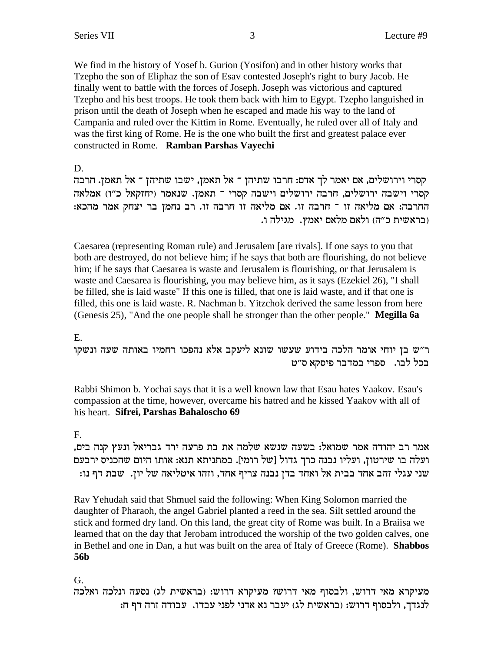We find in the history of Yosef b. Gurion (Yosifon) and in other history works that Tzepho the son of Eliphaz the son of Esav contested Joseph's right to bury Jacob. He finally went to battle with the forces of Joseph. Joseph was victorious and captured Tzepho and his best troops. He took them back with him to Egypt. Tzepho languished in prison until the death of Joseph when he escaped and made his way to the land of Campania and ruled over the Kittim in Rome. Eventually, he ruled over all of Italy and was the first king of Rome. He is the one who built the first and greatest palace ever constructed in Rome. **Ramban Parshas Vayechi**

D.

קסרי וירושלים, אם יאמר לך אדם: חרבו שתיהן ־ אל תאמן, ישבו שתיהן ־ אל תאמן. חרבה קסרי וישבה ירושלים, חרבה ירושלים וישבה קסרי <sup>-</sup> תאמן. שנאמר (יחזקאל כ"ו) אמלאה החרבה: אם מליאה זו <sup>-</sup> חרבה זו. אם מליאה זו חרבה זו. רב נחמן בר יצחק אמר מהכא: .ו בראשית כ"ה) ולאם מלאם יאמץ. מגילה ו

Caesarea (representing Roman rule) and Jerusalem [are rivals]. If one says to you that both are destroyed, do not believe him; if he says that both are flourishing, do not believe him; if he says that Caesarea is waste and Jerusalem is flourishing, or that Jerusalem is waste and Caesarea is flourishing, you may believe him, as it says (Ezekiel 26), "I shall be filled, she is laid waste" If this one is filled, that one is laid waste, and if that one is filled, this one is laid waste. R. Nachman b. Yitzchok derived the same lesson from here (Genesis 25), "And the one people shall be stronger than the other people." **Megilla 6a**

# E.

ר״ש בן יוחי אומר הלכה בידוע שעשו שונא ליעקב אלא נהפכו רחמיו באותה שעה ונשקו בכל לבו. ספרי במדבר פיסקא ס״ט

Rabbi Shimon b. Yochai says that it is a well known law that Esau hates Yaakov. Esau's compassion at the time, however, overcame his hatred and he kissed Yaakov with all of his heart. **Sifrei, Parshas Bahaloscho 69**

# F.

,אמר רב יהודה אמר שמואל: בשעה שנשא שלמה את בת פרעה ירד גבריאל ונעץ קנה בים ועלה בו שירטון, ועליו נבנה כרך גדול [של רומי]. במתניתא תנא: אותו היום שהכניס ירבעם : שני עגלי זהב אחד בבית אל ואחד בדן נבנה צריף אחד, וזהו איטליאה של יון. שבת דף נו

Rav Yehudah said that Shmuel said the following: When King Solomon married the daughter of Pharaoh, the angel Gabriel planted a reed in the sea. Silt settled around the stick and formed dry land. On this land, the great city of Rome was built. In a Braiisa we learned that on the day that Jerobam introduced the worship of the two golden calves, one in Bethel and one in Dan, a hut was built on the area of Italy of Greece (Rome). **Shabbos 56b**

# G.

מעיקרא מאי דרוש, ולבסוף מאי דרוש? מעיקרא דרוש: (בראשית לג) נסעה ונלכה ואלכה :לנגדך, ולבסוף דרוש: (בראשית לג) יעבר נא אדני לפני עבדו. עבודה זרה דף ח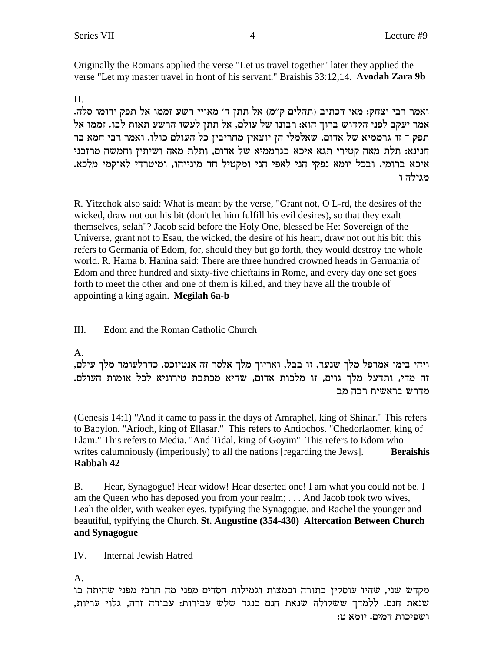Originally the Romans applied the verse "Let us travel together" later they applied the verse "Let my master travel in front of his servant." Braishis 33:12,14. Avodah Zara 9b

H.

ואמר רבי יצחק: מאי דכתיב (תהלים ק"מ) אל תתן ד' מאויי רשע זממו אל תפק ירומו סלה. אמר יעקב לפני הקדוש ברוך הוא: רבונו של עולם, אל תתן לעשו הרשע תאות לבו. זממו אל תפק ־ זו גרממיא של אדום, שאלמלי הן יוצאין מחריבין כל העולם כולו. ואמר רבי חמא בר חנינא: תלת מאה קטירי תגא איכא בגרממיא של אדום, ותלת מאה ושיתין וחמשה מרזבני איכא ברומי. ובכל יומא נפקי הני לאפי הני ומקטיל חד מינייהו, ומיטרדי לאוקמי מלכא. מגילה ו

R. Yitzchok also said: What is meant by the verse, "Grant not, O L-rd, the desires of the wicked, draw not out his bit (don't let him fulfill his evil desires), so that they exalt themselves, selah"? Jacob said before the Holy One, blessed be He: Sovereign of the Universe, grant not to Esau, the wicked, the desire of his heart, draw not out his bit: this refers to Germania of Edom, for, should they but go forth, they would destroy the whole world. R. Hama b. Hanina said: There are three hundred crowned heads in Germania of Edom and three hundred and sixty-five chieftains in Rome, and every day one set goes forth to meet the other and one of them is killed, and they have all the trouble of appointing a king again. Megilah 6a-b

#### $III$ Edom and the Roman Catholic Church

A.

ויהי בימי אמרפל מלך שנער, זו בבל, ואריוך מלך אלסר זה אנטיוכס, כדרלעומר מלך עילם, זה מדי, ותדעל מלך גוים, זו מלכות אדום, שהיא מכתבת טירוניא לכל אומות העולם. מדרש בראשית רבה מב

(Genesis 14:1) "And it came to pass in the days of Amraphel, king of Shinar." This refers to Babylon. "Arioch, king of Ellasar." This refers to Antiochos. "Chedorlaomer, king of Elam." This refers to Media. "And Tidal, king of Goyim" This refers to Edom who writes calumniously (imperiously) to all the nations [regarding the Jews]. **Beraishis** Rabbah 42

 $\mathbf{B}$ . Hear, Synagogue! Hear widow! Hear deserted one! I am what you could not be. I am the Queen who has deposed you from your realm; ... And Jacob took two wives, Leah the older, with weaker eyes, typifying the Synagogue, and Rachel the younger and beautiful, typifying the Church. St. Augustine (354-430) Altercation Between Church and Synagogue

 $IV.$ **Internal Jewish Hatred** 

 $\mathbf{A}$ 

מקדש שני, שהיו עוסקין בתורה ובמצות וגמילות חסדים מפני מה חרב? מפני שהיתה בו שנאת חנם. ללמדך ששקולה שנאת חנם כנגד שלש עבירות: עבודה זרה, גלוי עריות, ושפיכות דמים. יומא ט: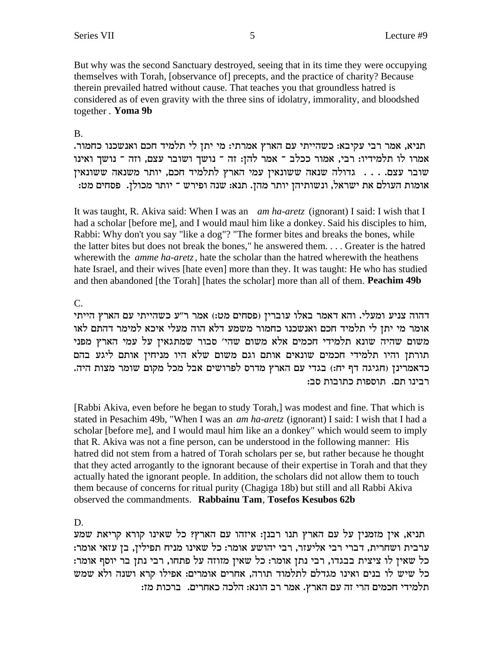But why was the second Sanctuary destroyed, seeing that in its time they were occupying themselves with Torah, [observance of] precepts, and the practice of charity? Because therein prevailed hatred without cause. That teaches you that groundless hatred is considered as of even gravity with the three sins of idolatry, immorality, and bloodshed together . **Yoma 9b**

#### B.

. תניא, אמר רבי עקיבא: כשהייתי עם הארץ אמרתי: מי יתן לי תלמיד חכם ואנשכנו כחמור אמרו לו תלמידיו: רבי, אמור ככלב ־ אמר להן: זה ־ נושך ושובר עצם, וזה ־ נושך ואינו סובר עצם. . . . גדולה שנאה ששונאין עמי הארץ לתלמיד חכם, יותר משנאה ששונאין  $\cdots$ :אומות העולם את ישראל, ונשותיהן יותר מהן. תנא: שנה ופירש ־ יותר מכולן. פסחים מט

It was taught, R. Akiva said: When I was an *am ha-aretz* (ignorant) I said: I wish that I had a scholar [before me], and I would maul him like a donkey. Said his disciples to him, Rabbi: Why don't you say "like a dog"? "The former bites and breaks the bones, while the latter bites but does not break the bones," he answered them. . . . Greater is the hatred wherewith the *amme ha-aretz*, hate the scholar than the hatred wherewith the heathens hate Israel, and their wives [hate even] more than they. It was taught: He who has studied and then abandoned [the Torah] [hates the scholar] more than all of them. **Peachim 49b**

# C.

דהוה צניע ומעלי. והא דאמר באלו עוברין (פסחים מט:) אמר ר"ע כשהייתי עם הארץ הייתי אומר מי יתן לי תלמיד חכם ואנשכנו כחמור משמע דלא הוה מעלי איכא למימר דהתם לאו משום שהיה שונא תלמידי חכמים אלא משום שהי׳ סבור שמתגאין על עמי הארץ מפני תורתן והיו תלמידי חכמים שונאים אותם וגם משום שלא היו מניחין אותם ליגע בהם . כדאמרינן (חגיגה דף יח:) בגדי עם הארץ מדרס לפרושים אבל מכל מקום שומר מצות היה . רבינו תם. תוספות כתובות סב

[Rabbi Akiva, even before he began to study Torah,] was modest and fine. That which is stated in Pesachim 49b, "When I was an *am ha-aretz* (ignorant) I said: I wish that I had a scholar [before me], and I would maul him like an a donkey" which would seem to imply that R. Akiva was not a fine person, can be understood in the following manner: His hatred did not stem from a hatred of Torah scholars per se, but rather because he thought that they acted arrogantly to the ignorant because of their expertise in Torah and that they actually hated the ignorant people. In addition, the scholars did not allow them to touch them because of concerns for ritual purity (Chagiga 18b) but still and all Rabbi Akiva observed the commandments. **Rabbainu Tam**, **Tosefos Kesubos 62b**

D.

תניא, אין מזמנין על עם הארץ תנו רבנן: איזהו עם הארץ? כל שאינו קורא קריאת שמע : ערבית ושחרית, דברי רבי אליעזר, רבי יהושע אומר: כל שאינו מניח תפיליז, בז עזאי אומר : כל שאין לו ציצית בבגדו, רבי נתן אומר: כל שאין מזוזה על פתחו, רבי נתן בר יוסף אומר כל שיש לו בנים ואינו מגדלם לתלמוד תורה, אחרים אומרים: אפילו קרא ושנה ולא שמש :<br>תלמידי חכמים הרי זה עם הארץ. אמר רב הונא: הלכה כאחרים. ברכות מז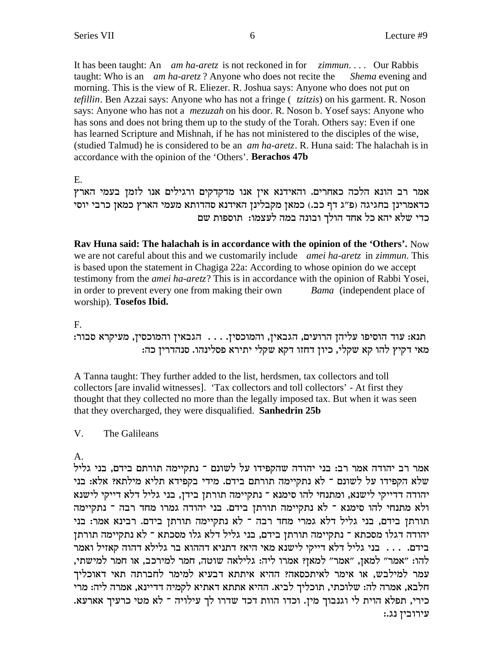It has been taught: An am ha-aretz is not reckoned in for zimmun.... Our Rabbis taught: Who is an am ha-aretz? Anyone who does not recite the *Shema* evening and morning. This is the view of R. Eliezer. R. Joshua says: Anyone who does not put on *tefillin*. Ben Azzai says: Anyone who has not a fringe  $(tzitzis)$  on his garment. R. Noson says: Anyone who has not a *mezuzah* on his door. R. Noson b. Yosef says: Anyone who has sons and does not bring them up to the study of the Torah. Others say: Even if one has learned Scripture and Mishnah, if he has not ministered to the disciples of the wise, (studied Talmud) he is considered to be an *am ha-aretz*. R. Huna said: The halachah is in accordance with the opinion of the 'Others'. Berachos 47b

 $E.$ 

אמר רב הונא הלכה כאחרים. והאידנא אין אנו מדקדקים ורגילים אנו לזמן בעמי הארץ כדאמרינן בחגיגה (פ״ג דף כב.) כמאן מקבלינן האידנא סהדותא מעמי הארץ כמאן כרבי יוסי כדי שלא יהא כל אחד הולך ובונה במה לעצמו: תוספות שם

Rav Huna said: The halachah is in accordance with the opinion of the 'Others'. Now we are not careful about this and we customarily include *amei ha-aretz* in *zimmun*. This is based upon the statement in Chagiga 22a: According to whose opinion do we accept testimony from the *amei ha-aretz*? This is in accordance with the opinion of Rabbi Yosei, in order to prevent every one from making their own *Bama* (independent place of worship). Tosefos Ibid.

# $F_{\cdot}$

# תנא: עוד הוסיפו עליהן הרועים, הגבאין, והמוכסין. . . . הגבאין והמוכסין, מעיקרא סבור: מאי דקיץ להו קא שקלי, כיון דחזו דקא שקלי יתירא פסלינהו. סנהדרין כה:

A Tanna taught: They further added to the list, herdsmen, tax collectors and toll collectors [are invalid witnesses]. 'Tax collectors and toll collectors' - At first they thought that they collected no more than the legally imposed tax. But when it was seen that they overcharged, they were disqualified. Sanhedrin 25b

#### $V_{\cdot}$ The Galileans

# A.

אמר רב יהודה אמר רב: בני יהודה שהקפידו על לשונם ־ נתקיימה תורתם בידם, בני גליל שלא הקפידו על לשונם ־ לא נתקיימה תורתם בידם. מידי בקפידא תליא מילתא? אלא: בני יהודה דדייקי לישנא, ומתנחי להו סימנא ־ נתקיימה תורתן בידן, בני גליל דלא דייקי לישנא ולא מתנחי להו סימנא ־ לא נתקיימה תורתן בידם. בני יהודה גמרו מחד רבה ־ נתקיימה תורתן בידם, בני גליל דלא גמרי מחד רבה ־ לא נתקיימה תורתן בידם. רבינא אמר: בני יהודה דגלו מסכתא ־ נתקיימה תורתן בידם, בני גליל דלא גלו מסכתא ־ לא נתקיימה תורתן בידם. . . . בני גליל דלא דייקי לישנא מאי היא? דתניא דההוא בר גלילא דהוה קאזיל ואמר להו: "אמר" למאן, "אמר" למאן? אמרו ליה: גלילאה שוטה, חמר למירכב, או חמר למישתי, עמר למילבש, או אימר לאיתכסאה? ההיא איתתא דבעיא למימר לחברתה תאי דאוכליך חלבא, אמרה לה: שלוכתי, תוכליך לביא. ההיא אתתא דאתיא לקמיה דדיינא, אמרה ליה: מרי כירי, תפלא הוית לי וגנבוך מין. וכדו הוות דכד שדרו לך עילויה ־ לא מטי כרעיך אארעא. עירובין נג.: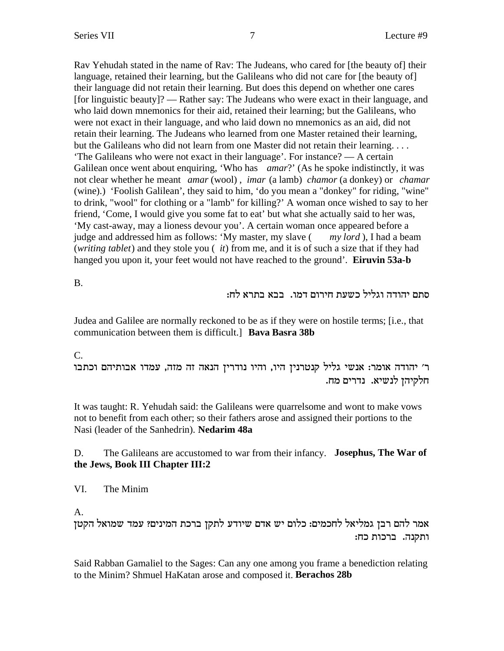Rav Yehudah stated in the name of Rav: The Judeans, who cared for [the beauty of] their language, retained their learning, but the Galileans who did not care for [the beauty of] their language did not retain their learning. But does this depend on whether one cares [for linguistic beauty]? — Rather say: The Judeans who were exact in their language, and who laid down mnemonics for their aid, retained their learning; but the Galileans, who were not exact in their language, and who laid down no mnemonics as an aid, did not retain their learning. The Judeans who learned from one Master retained their learning, but the Galileans who did not learn from one Master did not retain their learning. . . . 'The Galileans who were not exact in their language'. For instance? — A certain Galilean once went about enquiring, 'Who has *amar*?' (As he spoke indistinctly, it was not clear whether he meant *amar* (wool) , *imar* (a lamb) *chamor* (a donkey) or *chamar* (wine).) 'Foolish Galilean', they said to him, 'do you mean a "donkey" for riding, "wine" to drink, "wool" for clothing or a "lamb" for killing?' A woman once wished to say to her friend, 'Come, I would give you some fat to eat' but what she actually said to her was, 'My cast-away, may a lioness devour you'. A certain woman once appeared before a judge and addressed him as follows: 'My master, my slave ( *my lord* ), I had a beam (*writing tablet*) and they stole you ( *it*) from me, and it is of such a size that if they had hanged you upon it, your feet would not have reached to the ground'. **Eiruvin 53a-b**

B.

סתם יהודה וגליל כשעת חירום דמו. בבא בתרא לח:

Judea and Galilee are normally reckoned to be as if they were on hostile terms; [i.e., that communication between them is difficult.] **Bava Basra 38b**

C.

ר׳ יהודה אומר: אנשי גליל קנטרנין היו, והיו נודרין הנאה זה מזה, עמדו אבותיהם וכתבו חלקיהן לנשיא. נדרים מח.

It was taught: R. Yehudah said: the Galileans were quarrelsome and wont to make vows not to benefit from each other; so their fathers arose and assigned their portions to the Nasi (leader of the Sanhedrin). **Nedarim 48a**

D. The Galileans are accustomed to war from their infancy. **Josephus, The War of the Jews, Book III Chapter III:2**

VI. The Minim

A.

אמר להם רבן גמליאל לחכמים: כלום יש אדם שיודע לתקן ברכת המינים? עמד שמואל הקטן ותקנה. ברכות כח:

Said Rabban Gamaliel to the Sages: Can any one among you frame a benediction relating to the Minim? Shmuel HaKatan arose and composed it. **Berachos 28b**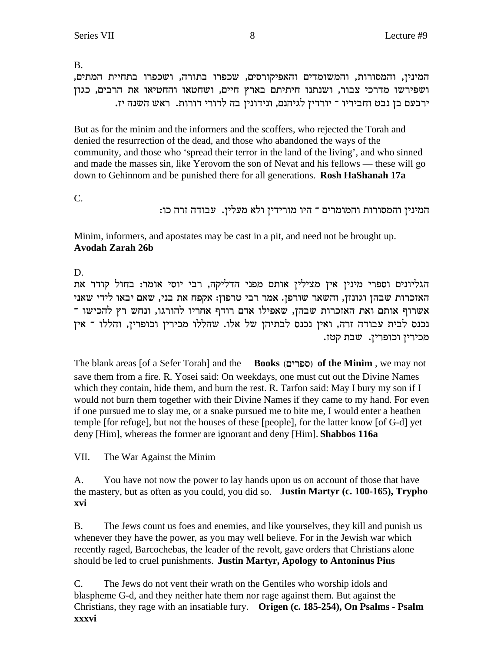**B.** המינין, והמסורות, והמשומדים והאפיקורסים, שכפרו בתורה, ושכפרו בתחיית המתים, ושפירשו מדרכי צבור, ושנתנו חיתיתם בארץ חיים, ושחטאו והחטיאו את הרבים, כגון ירבעם בן נבט וחביריו ־ יורדין לגיהנם, ונידונין בה לדורי דורות. ראש השנה יז.

But as for the minim and the informers and the scoffers, who rejected the Torah and denied the resurrection of the dead, and those who abandoned the ways of the community, and those who 'spread their terror in the land of the living', and who sinned and made the masses sin, like Yerovom the son of Nevat and his fellows — these will go down to Gehinnom and be punished there for all generations. Rosh HaShanah 17a

 $C_{\cdot}$ 

```
המינין והמסורות והמומרים ־ היו מורידין ולא מעלין. עבודה זרה כו:
```
Minim, informers, and apostates may be cast in a pit, and need not be brought up. **Avodah Zarah 26b** 

 $D_{\alpha}$ 

הגליונים וספרי מינין אין מצילין אותם מפני הדליקה, רבי יוסי אומר: בחול קודר את האזכרות שבהן וגונזן, והשאר שורפן. אמר רבי טרפון: אקפח את בני, שאם יבאו לידי שאני אשרוף אותם ואת האזכרות שבהן, שאפילו אדם רודף אחריו להורגו, ונחש רץ להכישו ־ נכנס לבית עבודה זרה, ואין נכנס לבתיהן של אלו. שהללו מכירין וכופרין, והללו ־ אין מכירין וכופרין. שבת קטז.

The blank areas [of a Sefer Torah] and the **Books (ספרים)** of the Minim, we may not save them from a fire. R. Yosei said: On weekdays, one must cut out the Divine Names which they contain, hide them, and burn the rest. R. Tarfon said: May I bury my son if I would not burn them together with their Divine Names if they came to my hand. For even if one pursued me to slay me, or a snake pursued me to bite me, I would enter a heathen temple [for refuge], but not the houses of these [people], for the latter know [of G-d] yet deny [Him], whereas the former are ignorant and deny [Him]. Shabbos 116a

VII. The War Against the Minim

A. You have not now the power to lay hands upon us on account of those that have the mastery, but as often as you could, you did so. Justin Martyr (c. 100-165), Trypho xvi

 $B<sub>1</sub>$ The Jews count us foes and enemies, and like yourselves, they kill and punish us whenever they have the power, as you may well believe. For in the Jewish war which recently raged, Barcochebas, the leader of the revolt, gave orders that Christians alone should be led to cruel punishments. Justin Martyr, Apology to Antoninus Pius

The Jews do not vent their wrath on the Gentiles who worship idols and  $C_{\cdot}$ blaspheme G-d, and they neither hate them nor rage against them. But against the Christians, they rage with an insatiable fury. Origen (c. 185-254), On Psalms - Psalm xxxvi

8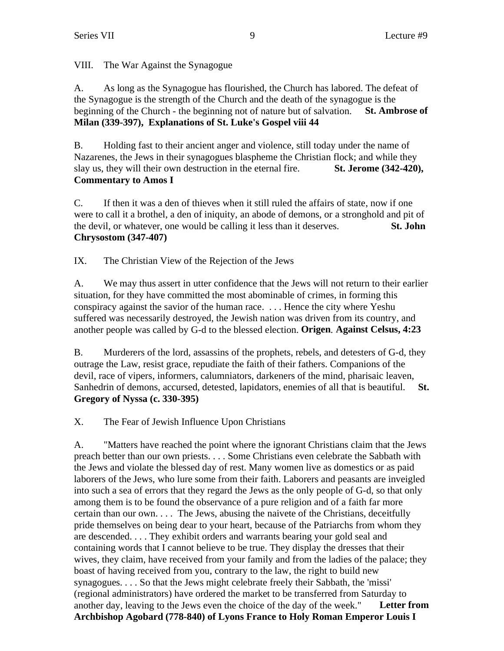VIII. The War Against the Synagogue

A. As long as the Synagogue has flourished, the Church has labored. The defeat of the Synagogue is the strength of the Church and the death of the synagogue is the beginning of the Church - the beginning not of nature but of salvation. **St. Ambrose of Milan (339-397), Explanations of St. Luke's Gospel viii 44**

B. Holding fast to their ancient anger and violence, still today under the name of Nazarenes, the Jews in their synagogues blaspheme the Christian flock; and while they slay us, they will their own destruction in the eternal fire. **St. Jerome (342-420), Commentary to Amos I**

C. If then it was a den of thieves when it still ruled the affairs of state, now if one were to call it a brothel, a den of iniquity, an abode of demons, or a stronghold and pit of the devil, or whatever, one would be calling it less than it deserves. **St. John Chrysostom (347-407)**

IX. The Christian View of the Rejection of the Jews

A. We may thus assert in utter confidence that the Jews will not return to their earlier situation, for they have committed the most abominable of crimes, in forming this conspiracy against the savior of the human race. . . . Hence the city where Yeshu suffered was necessarily destroyed, the Jewish nation was driven from its country, and another people was called by G-d to the blessed election. **Origen**. **Against Celsus, 4:23**

B. Murderers of the lord, assassins of the prophets, rebels, and detesters of G-d, they outrage the Law, resist grace, repudiate the faith of their fathers. Companions of the devil, race of vipers, informers, calumniators, darkeners of the mind, pharisaic leaven, Sanhedrin of demons, accursed, detested, lapidators, enemies of all that is beautiful. **St. Gregory of Nyssa (c. 330-395)**

X. The Fear of Jewish Influence Upon Christians

A. "Matters have reached the point where the ignorant Christians claim that the Jews preach better than our own priests. . . . Some Christians even celebrate the Sabbath with the Jews and violate the blessed day of rest. Many women live as domestics or as paid laborers of the Jews, who lure some from their faith. Laborers and peasants are inveigled into such a sea of errors that they regard the Jews as the only people of G-d, so that only among them is to be found the observance of a pure religion and of a faith far more certain than our own. . . . The Jews, abusing the naivete of the Christians, deceitfully pride themselves on being dear to your heart, because of the Patriarchs from whom they are descended. . . . They exhibit orders and warrants bearing your gold seal and containing words that I cannot believe to be true. They display the dresses that their wives, they claim, have received from your family and from the ladies of the palace; they boast of having received from you, contrary to the law, the right to build new synagogues. . . . So that the Jews might celebrate freely their Sabbath, the 'missi' (regional administrators) have ordered the market to be transferred from Saturday to another day, leaving to the Jews even the choice of the day of the week." **Letter from Archbishop Agobard (778-840) of Lyons France to Holy Roman Emperor Louis I**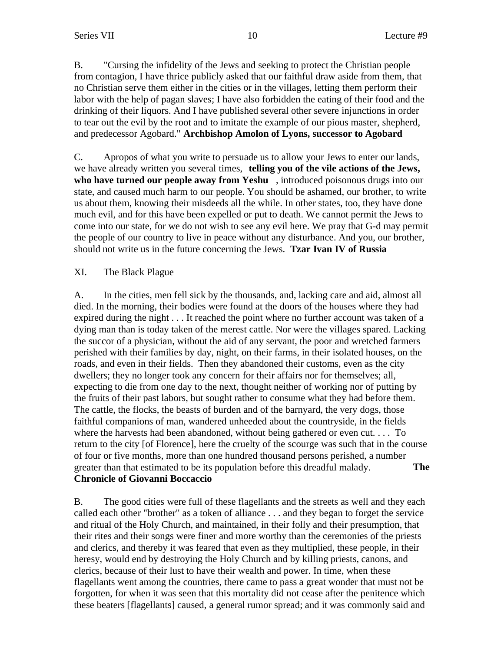B. "Cursing the infidelity of the Jews and seeking to protect the Christian people from contagion, I have thrice publicly asked that our faithful draw aside from them, that no Christian serve them either in the cities or in the villages, letting them perform their labor with the help of pagan slaves; I have also forbidden the eating of their food and the drinking of their liquors. And I have published several other severe injunctions in order to tear out the evil by the root and to imitate the example of our pious master, shepherd, and predecessor Agobard." **Archbishop Amolon of Lyons, successor to Agobard**

C. Apropos of what you write to persuade us to allow your Jews to enter our lands, we have already written you several times, **telling you of the vile actions of the Jews, who have turned our people away from Yeshu** , introduced poisonous drugs into our state, and caused much harm to our people. You should be ashamed, our brother, to write us about them, knowing their misdeeds all the while. In other states, too, they have done much evil, and for this have been expelled or put to death. We cannot permit the Jews to come into our state, for we do not wish to see any evil here. We pray that G-d may permit the people of our country to live in peace without any disturbance. And you, our brother, should not write us in the future concerning the Jews. **Tzar Ivan IV of Russia**

## XI. The Black Plague

A. In the cities, men fell sick by the thousands, and, lacking care and aid, almost all died. In the morning, their bodies were found at the doors of the houses where they had expired during the night . . . It reached the point where no further account was taken of a dying man than is today taken of the merest cattle. Nor were the villages spared. Lacking the succor of a physician, without the aid of any servant, the poor and wretched farmers perished with their families by day, night, on their farms, in their isolated houses, on the roads, and even in their fields. Then they abandoned their customs, even as the city dwellers; they no longer took any concern for their affairs nor for themselves; all, expecting to die from one day to the next, thought neither of working nor of putting by the fruits of their past labors, but sought rather to consume what they had before them. The cattle, the flocks, the beasts of burden and of the barnyard, the very dogs, those faithful companions of man, wandered unheeded about the countryside, in the fields where the harvests had been abandoned, without being gathered or even cut. . . . To return to the city [of Florence], here the cruelty of the scourge was such that in the course of four or five months, more than one hundred thousand persons perished, a number greater than that estimated to be its population before this dreadful malady. **The Chronicle of Giovanni Boccaccio**

B. The good cities were full of these flagellants and the streets as well and they each called each other "brother" as a token of alliance . . . and they began to forget the service and ritual of the Holy Church, and maintained, in their folly and their presumption, that their rites and their songs were finer and more worthy than the ceremonies of the priests and clerics, and thereby it was feared that even as they multiplied, these people, in their heresy, would end by destroying the Holy Church and by killing priests, canons, and clerics, because of their lust to have their wealth and power. In time, when these flagellants went among the countries, there came to pass a great wonder that must not be forgotten, for when it was seen that this mortality did not cease after the penitence which these beaters [flagellants] caused, a general rumor spread; and it was commonly said and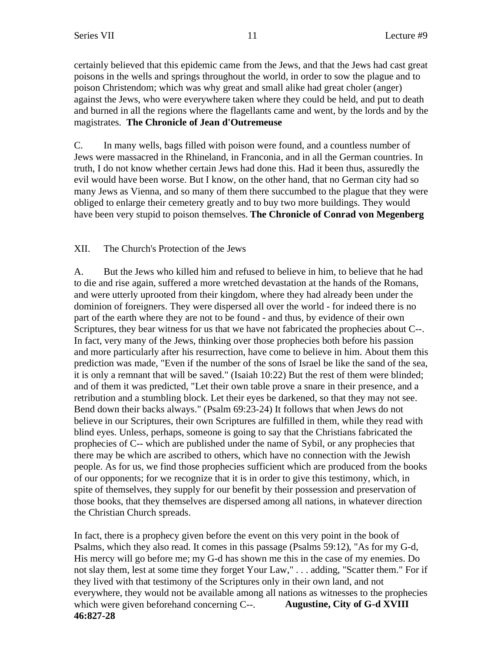certainly believed that this epidemic came from the Jews, and that the Jews had cast great poisons in the wells and springs throughout the world, in order to sow the plague and to poison Christendom; which was why great and small alike had great choler (anger) against the Jews, who were everywhere taken where they could be held, and put to death and burned in all the regions where the flagellants came and went, by the lords and by the magistrates. **The Chronicle of Jean d'Outremeuse**

C. In many wells, bags filled with poison were found, and a countless number of Jews were massacred in the Rhineland, in Franconia, and in all the German countries. In truth, I do not know whether certain Jews had done this. Had it been thus, assuredly the evil would have been worse. But I know, on the other hand, that no German city had so many Jews as Vienna, and so many of them there succumbed to the plague that they were obliged to enlarge their cemetery greatly and to buy two more buildings. They would have been very stupid to poison themselves. **The Chronicle of Conrad von Megenberg**

XII. The Church's Protection of the Jews

A. But the Jews who killed him and refused to believe in him, to believe that he had to die and rise again, suffered a more wretched devastation at the hands of the Romans, and were utterly uprooted from their kingdom, where they had already been under the dominion of foreigners. They were dispersed all over the world - for indeed there is no part of the earth where they are not to be found - and thus, by evidence of their own Scriptures, they bear witness for us that we have not fabricated the prophecies about C--. In fact, very many of the Jews, thinking over those prophecies both before his passion and more particularly after his resurrection, have come to believe in him. About them this prediction was made, "Even if the number of the sons of Israel be like the sand of the sea, it is only a remnant that will be saved." (Isaiah 10:22) But the rest of them were blinded; and of them it was predicted, "Let their own table prove a snare in their presence, and a retribution and a stumbling block. Let their eyes be darkened, so that they may not see. Bend down their backs always." (Psalm 69:23-24) It follows that when Jews do not believe in our Scriptures, their own Scriptures are fulfilled in them, while they read with blind eyes. Unless, perhaps, someone is going to say that the Christians fabricated the prophecies of C-- which are published under the name of Sybil, or any prophecies that there may be which are ascribed to others, which have no connection with the Jewish people. As for us, we find those prophecies sufficient which are produced from the books of our opponents; for we recognize that it is in order to give this testimony, which, in spite of themselves, they supply for our benefit by their possession and preservation of those books, that they themselves are dispersed among all nations, in whatever direction the Christian Church spreads.

In fact, there is a prophecy given before the event on this very point in the book of Psalms, which they also read. It comes in this passage (Psalms 59:12), "As for my G-d, His mercy will go before me; my G-d has shown me this in the case of my enemies. Do not slay them, lest at some time they forget Your Law," . . . adding, "Scatter them." For if they lived with that testimony of the Scriptures only in their own land, and not everywhere, they would not be available among all nations as witnesses to the prophecies which were given beforehand concerning C--. **Augustine, City of G-d XVIII 46:827-28**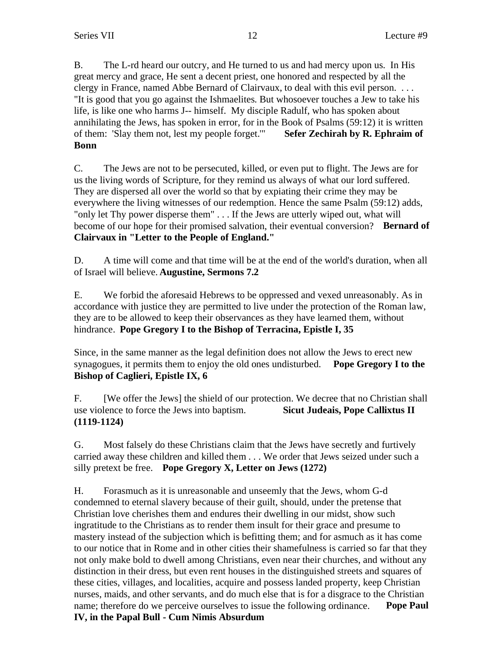B. The L-rd heard our outcry, and He turned to us and had mercy upon us. In His great mercy and grace, He sent a decent priest, one honored and respected by all the clergy in France, named Abbe Bernard of Clairvaux, to deal with this evil person. . . . "It is good that you go against the Ishmaelites. But whosoever touches a Jew to take his life, is like one who harms J-- himself. My disciple Radulf, who has spoken about annihilating the Jews, has spoken in error, for in the Book of Psalms (59:12) it is written of them: 'Slay them not, lest my people forget.'" **Sefer Zechirah by R. Ephraim of Bonn**

C. The Jews are not to be persecuted, killed, or even put to flight. The Jews are for us the living words of Scripture, for they remind us always of what our lord suffered. They are dispersed all over the world so that by expiating their crime they may be everywhere the living witnesses of our redemption. Hence the same Psalm (59:12) adds, "only let Thy power disperse them" . . . If the Jews are utterly wiped out, what will become of our hope for their promised salvation, their eventual conversion? **Bernard of Clairvaux in "Letter to the People of England."**

D. A time will come and that time will be at the end of the world's duration, when all of Israel will believe. **Augustine, Sermons 7.2**

E. We forbid the aforesaid Hebrews to be oppressed and vexed unreasonably. As in accordance with justice they are permitted to live under the protection of the Roman law, they are to be allowed to keep their observances as they have learned them, without hindrance. **Pope Gregory I to the Bishop of Terracina, Epistle I, 35**

Since, in the same manner as the legal definition does not allow the Jews to erect new synagogues, it permits them to enjoy the old ones undisturbed. **Pope Gregory I to the Bishop of Caglieri, Epistle IX, 6**

F. [We offer the Jews] the shield of our protection. We decree that no Christian shall use violence to force the Jews into baptism. **Sicut Judeais, Pope Callixtus II (1119-1124)**

G. Most falsely do these Christians claim that the Jews have secretly and furtively carried away these children and killed them . . . We order that Jews seized under such a silly pretext be free. **Pope Gregory X, Letter on Jews (1272)**

H. Forasmuch as it is unreasonable and unseemly that the Jews, whom G-d condemned to eternal slavery because of their guilt, should, under the pretense that Christian love cherishes them and endures their dwelling in our midst, show such ingratitude to the Christians as to render them insult for their grace and presume to mastery instead of the subjection which is befitting them; and for asmuch as it has come to our notice that in Rome and in other cities their shamefulness is carried so far that they not only make bold to dwell among Christians, even near their churches, and without any distinction in their dress, but even rent houses in the distinguished streets and squares of these cities, villages, and localities, acquire and possess landed property, keep Christian nurses, maids, and other servants, and do much else that is for a disgrace to the Christian name; therefore do we perceive ourselves to issue the following ordinance. **Pope Paul IV, in the Papal Bull - Cum Nimis Absurdum**